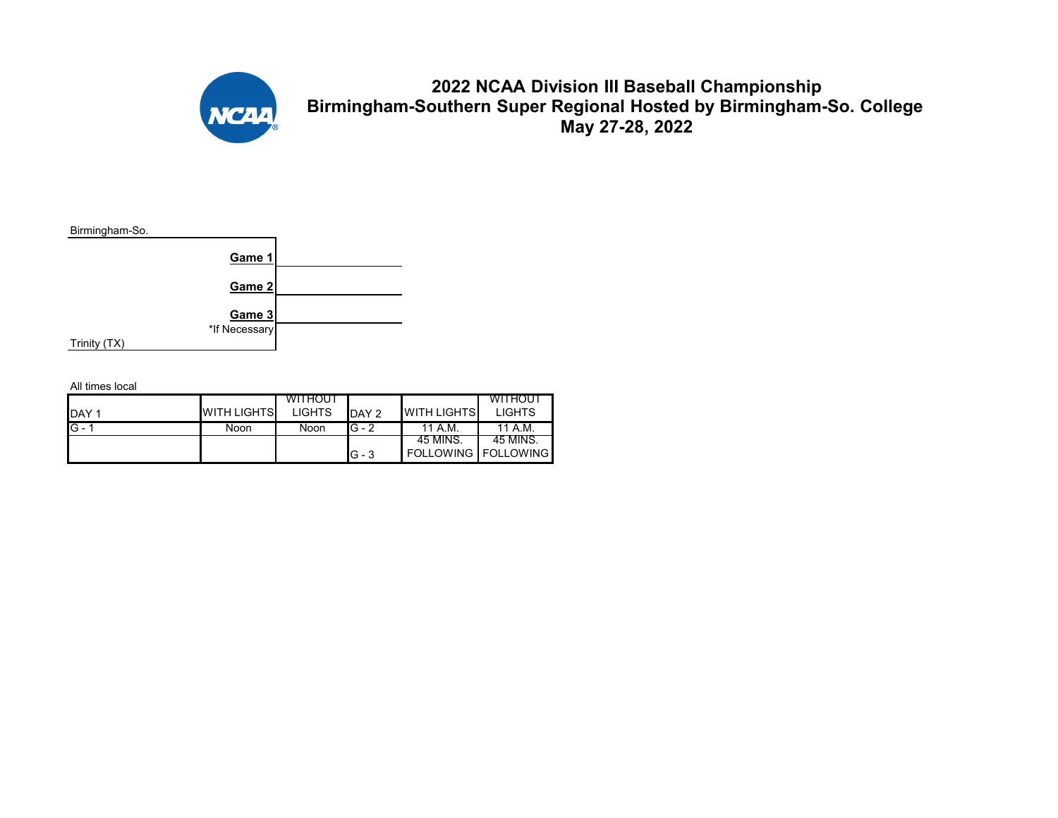

## **2022 NCAA Division III Baseball Championship Birmingham-Southern Super Regional Hosted by Birmingham-So. College May 27-28, 2022**



|              |                    | <b>WITHOUT</b> |          |                              | WITHOU'       |
|--------------|--------------------|----------------|----------|------------------------------|---------------|
| <b>IDAY1</b> | <b>WITH LIGHTS</b> | <b>LIGHTS</b>  | DAY 2    | <b>WITH LIGHTS</b>           | <b>LIGHTS</b> |
| $G -$        | Noon               | Noon           | $IG - 2$ | 11 A.M.                      | 11 A.M.       |
|              |                    |                |          | -45 MINS.                    | 45 MINS.      |
|              |                    |                | $G - 3$  | <b>FOLLOWING   FOLLOWING</b> |               |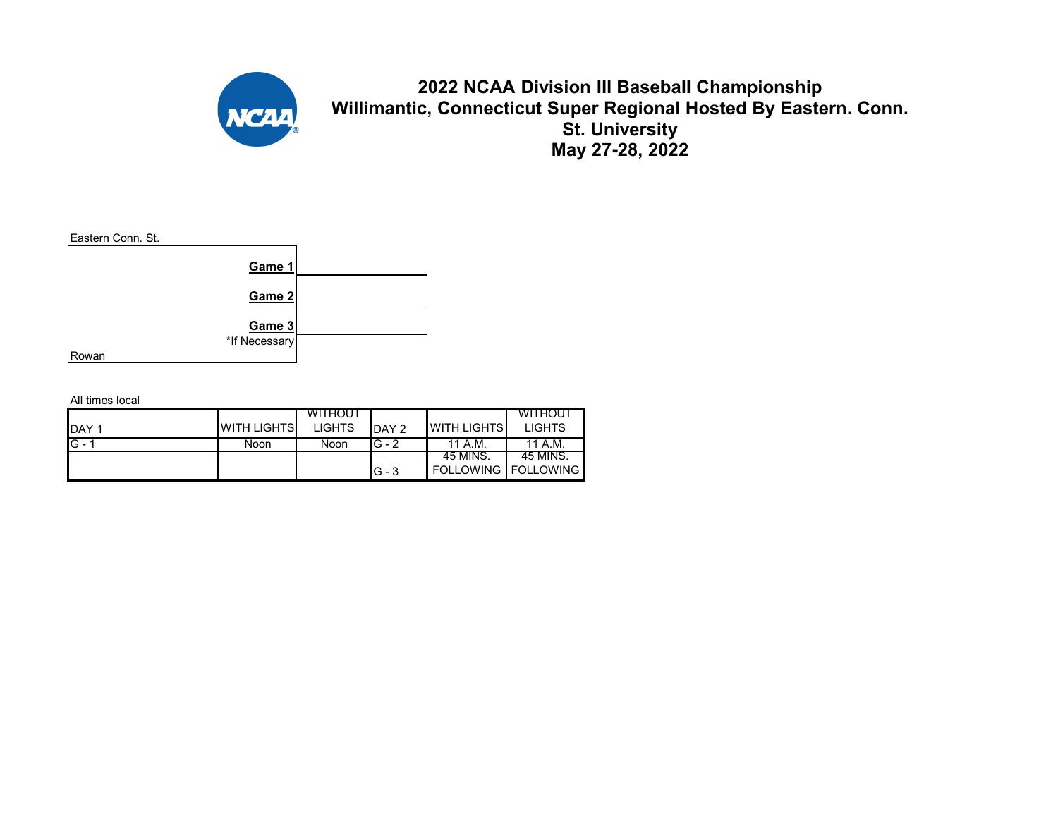

## **2022 NCAA Division III Baseball Championship Willimantic, Connecticut Super Regional Hosted By Eastern. Conn. St. University May 27-28, 2022**



|              |                    | <b>WITHOUT</b> |         |                      | <b>WITHOUT</b> |
|--------------|--------------------|----------------|---------|----------------------|----------------|
| <b>IDAY1</b> | <b>WITH LIGHTS</b> | <b>LIGHTS</b>  | DAY 2   | <b>I</b> WITH LIGHTS | <b>LIGHTS</b>  |
| $IG - 1$     | Noon               | Noon           | $G - 2$ | 11 A.M.              | 11 A.M.        |
|              |                    |                |         | -45 MINS.            | 45 MINS.       |
|              |                    |                | $G - 3$ | FOLLOWING FOLLOWING  |                |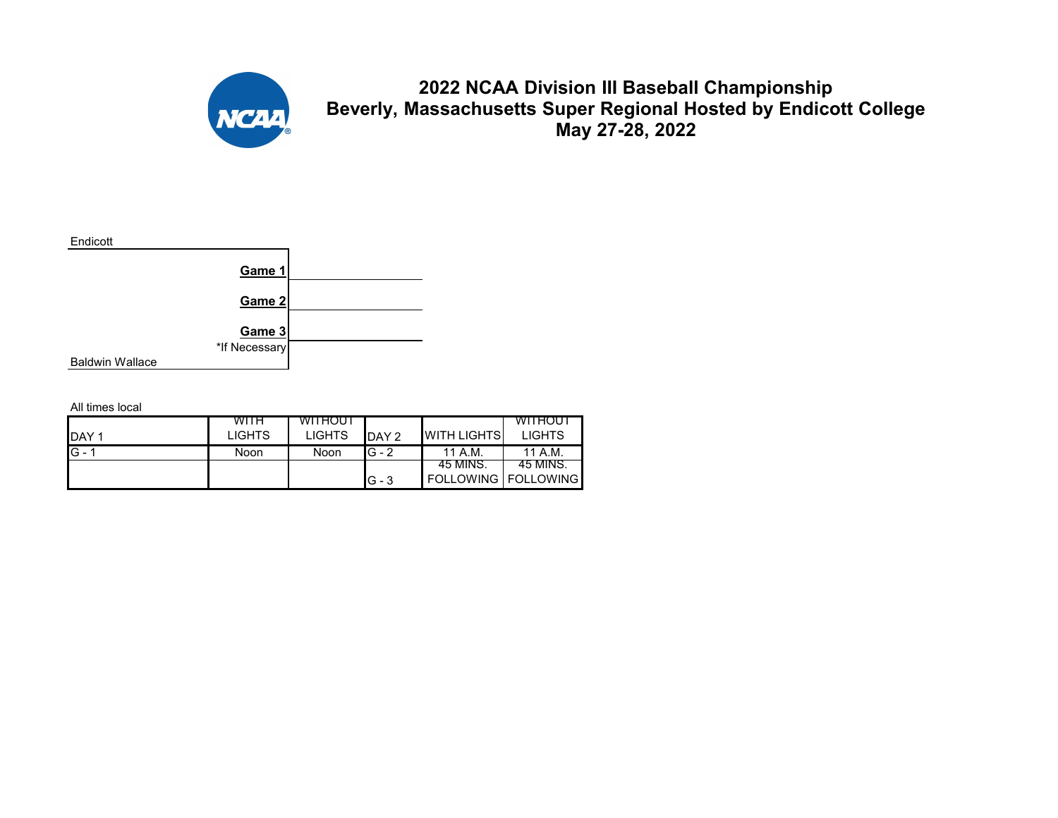

**2022 NCAA Division III Baseball Championship Beverly, Massachusetts Super Regional Hosted by Endicott College May 27-28, 2022**



|                  | WITH          | <b>WITHOUT</b> |         |                       | WITHOUT       |
|------------------|---------------|----------------|---------|-----------------------|---------------|
| DAY <sub>1</sub> | <b>LIGHTS</b> | <b>LIGHTS</b>  | DAY 2   | <b>WITH LIGHTS</b>    | <b>LIGHTS</b> |
| $G - 1$          | Noon          | Noon           | $G - 2$ | 11 A.M.               | 11 A.M.       |
|                  |               |                |         | -45 MINS.             | 45 MINS.      |
|                  |               |                | $G - 3$ | FOLLOWING   FOLLOWING |               |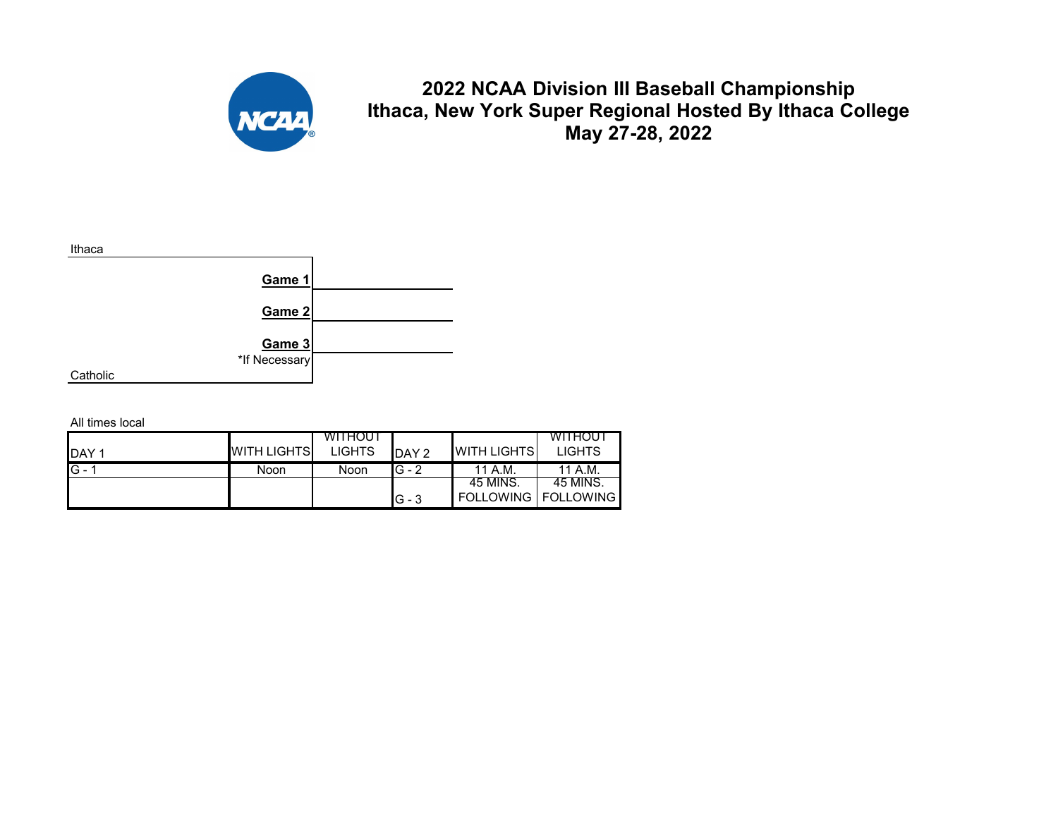

**2022 NCAA Division III Baseball Championship Ithaca, New York Super Regional Hosted By Ithaca College May 27-28, 2022**



|              |                    | <b>WITHOUT</b> |          |                              | <b>WITHOUT</b> |
|--------------|--------------------|----------------|----------|------------------------------|----------------|
| <b>IDAY1</b> | <b>WITH LIGHTS</b> | <b>LIGHTS</b>  | DAY 2    | <b>WITH LIGHTS</b>           | <b>LIGHTS</b>  |
| $IG - 1$     | Noon               | Noon           | $G - 2$  | 11 A.M.                      | 11 A.M.        |
|              |                    |                |          | 45 MINS.                     | 45 MINS.       |
|              |                    |                | $IG - 3$ | <b>FOLLOWING I FOLLOWING</b> |                |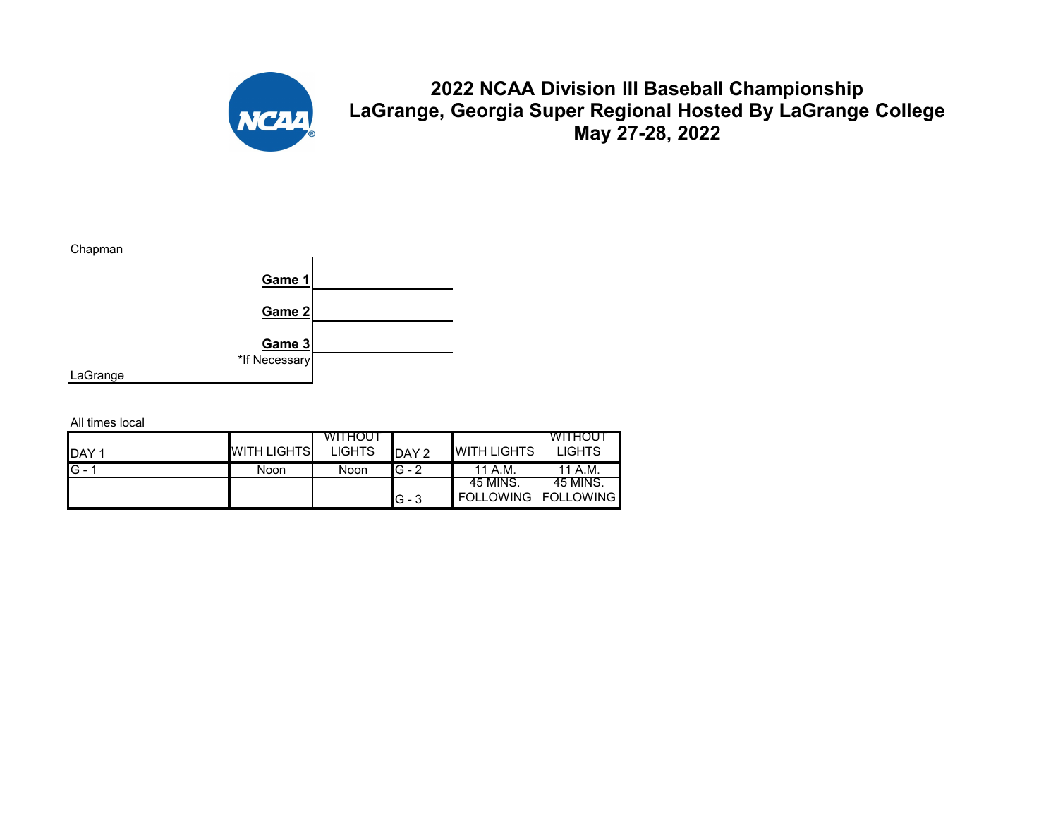

**2022 NCAA Division III Baseball Championship LaGrange, Georgia Super Regional Hosted By LaGrange College May 27-28, 2022**



|              |                    | <b>WITHOUT</b> |          |                              | <b>WITHOUT</b> |
|--------------|--------------------|----------------|----------|------------------------------|----------------|
| <b>IDAY1</b> | <b>WITH LIGHTS</b> | <b>LIGHTS</b>  | DAY 2    | <b>WITH LIGHTS</b>           | <b>LIGHTS</b>  |
| $IG - 1$     | Noon               | Noon           | $G - 2$  | 11 A.M.                      | 11 A.M.        |
|              |                    |                |          | 45 MINS.                     | 45 MINS.       |
|              |                    |                | $IG - 3$ | <b>FOLLOWING I FOLLOWING</b> |                |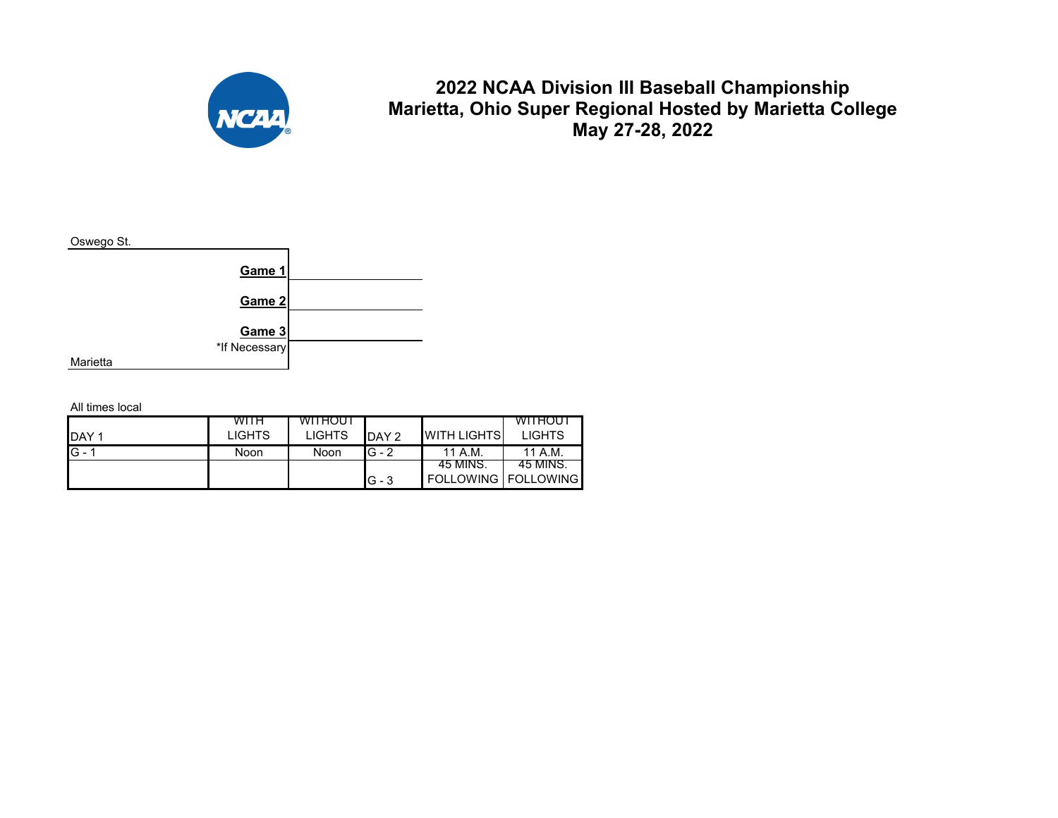

## **2022 NCAA Division III Baseball Championship Marietta, Ohio Super Regional Hosted by Marietta College May 27-28, 2022**



|              | <b>WITH</b>   | WITHOUT       |         |                            | <b>WITHOUT</b> |
|--------------|---------------|---------------|---------|----------------------------|----------------|
| <b>IDAY1</b> | <b>LIGHTS</b> | <b>LIGHTS</b> | DAY 2   | <b>WITH LIGHTS</b>         | <b>LIGHTS</b>  |
| $G - 1$      | Noon          | Noon          | $G - 2$ | 11 A.M.                    | 11 A.M.        |
|              |               |               |         | -45 MINS.                  | 45 MINS.       |
|              |               |               | $G - 3$ | <b>FOLLOWING FOLLOWING</b> |                |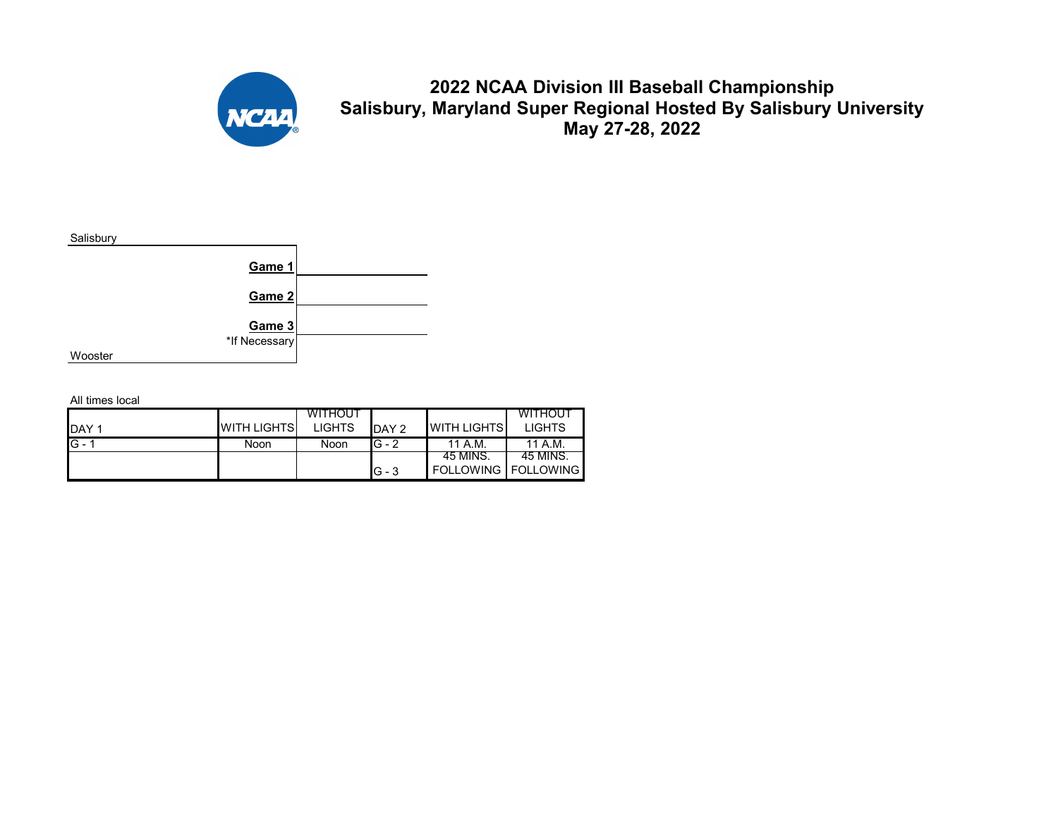

## **2022 NCAA Division III Baseball Championship Salisbury, Maryland Super Regional Hosted By Salisbury University May 27-28, 2022**



|              |                    | <b>WITHOUT</b> |         |                              | <b>WITHOUT</b> |
|--------------|--------------------|----------------|---------|------------------------------|----------------|
| <b>IDAY1</b> | <b>WITH LIGHTS</b> | <b>LIGHTS</b>  | DAY 2   | <b>I</b> WITH LIGHTS         | <b>LIGHTS</b>  |
| $G - 1$      | Noon               | Noon           | $G - 2$ | 11 A.M.                      | 11 A.M.        |
|              |                    |                |         | 45 MINS.                     | 45 MINS.       |
|              |                    |                | IG - 3  | <b>FOLLOWING   FOLLOWING</b> |                |